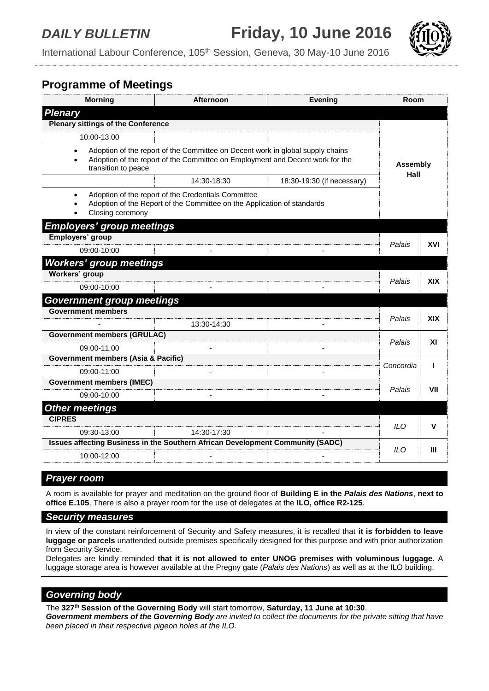*DAILY BULLETIN* **Friday, 10 June 2016**



International Labour Conference, 105<sup>th</sup> Session, Geneva, 30 May-10 June 2016

# **Programme of Meetings**

| <b>Morning</b>                                                                        | <b>Afternoon</b>                                                                                                                                                | <b>Evening</b>             | Room             |            |  |
|---------------------------------------------------------------------------------------|-----------------------------------------------------------------------------------------------------------------------------------------------------------------|----------------------------|------------------|------------|--|
| <b>Plenary</b>                                                                        |                                                                                                                                                                 |                            |                  |            |  |
| <b>Plenary sittings of the Conference</b>                                             |                                                                                                                                                                 |                            |                  |            |  |
| 10:00-13:00                                                                           |                                                                                                                                                                 |                            |                  |            |  |
| $\bullet$<br>$\bullet$<br>transition to peace                                         | Adoption of the report of the Committee on Decent work in global supply chains<br>Adoption of the report of the Committee on Employment and Decent work for the |                            | Assembly<br>Hall |            |  |
|                                                                                       | 14:30-18:30                                                                                                                                                     | 18:30-19:30 (if necessary) |                  |            |  |
| $\bullet$<br>Closing ceremony                                                         | Adoption of the report of the Credentials Committee<br>Adoption of the Report of the Committee on the Application of standards                                  |                            |                  |            |  |
| <b>Employers' group meetings</b>                                                      |                                                                                                                                                                 |                            |                  |            |  |
| Employers' group                                                                      |                                                                                                                                                                 |                            | Palais           | XVI        |  |
| 09:00-10:00                                                                           |                                                                                                                                                                 |                            |                  |            |  |
| <b>Workers' group meetings</b>                                                        |                                                                                                                                                                 |                            |                  |            |  |
| Workers' group                                                                        |                                                                                                                                                                 |                            |                  | <b>XIX</b> |  |
| 09:00-10:00                                                                           |                                                                                                                                                                 |                            | Palais           |            |  |
| <b>Government group meetings</b>                                                      |                                                                                                                                                                 |                            |                  |            |  |
| <b>Government members</b>                                                             |                                                                                                                                                                 |                            | Palais           | <b>XIX</b> |  |
|                                                                                       | 13:30-14:30                                                                                                                                                     |                            |                  |            |  |
| <b>Government members (GRULAC)</b>                                                    |                                                                                                                                                                 |                            |                  | XI         |  |
| 09:00-11:00                                                                           |                                                                                                                                                                 |                            | Palais           |            |  |
| <b>Government members (Asia &amp; Pacific)</b>                                        | Concordia                                                                                                                                                       | L                          |                  |            |  |
| 09:00-11:00                                                                           | ÷.                                                                                                                                                              |                            |                  |            |  |
| <b>Government members (IMEC)</b>                                                      |                                                                                                                                                                 |                            |                  | VII        |  |
| 09:00-10:00                                                                           |                                                                                                                                                                 |                            | Palais           |            |  |
| <b>Other meetings</b>                                                                 |                                                                                                                                                                 |                            |                  |            |  |
| <b>CIPRES</b>                                                                         |                                                                                                                                                                 |                            |                  | v          |  |
| 09:30-13:00                                                                           | 14:30-17:30                                                                                                                                                     |                            | <b>ILO</b>       |            |  |
| <b>Issues affecting Business in the Southern African Development Community (SADC)</b> |                                                                                                                                                                 |                            | ILO.             | Ш          |  |
| 10:00-12:00                                                                           |                                                                                                                                                                 |                            |                  |            |  |
|                                                                                       |                                                                                                                                                                 |                            |                  |            |  |

## *Prayer room*

A room is available for prayer and meditation on the ground floor of **Building E in the** *Palais des Nations*, **next to office E.105**. There is also a prayer room for the use of delegates at the **ILO, office R2-125**.

#### *Security measures*

In view of the constant reinforcement of Security and Safety measures, it is recalled that **it is forbidden to leave luggage or parcels** unattended outside premises specifically designed for this purpose and with prior authorization from Security Service.

Delegates are kindly reminded **that it is not allowed to enter UNOG premises with voluminous luggage**. A luggage storage area is however available at the Pregny gate (*Palais des Nations*) as well as at the ILO building.

## *Governing body*

The **327th Session of the Governing Body** will start tomorrow, **Saturday, 11 June at 10:30**. *Government members of the Governing Body are invited to collect the documents for the private sitting that have been placed in their respective pigeon holes at the ILO.*